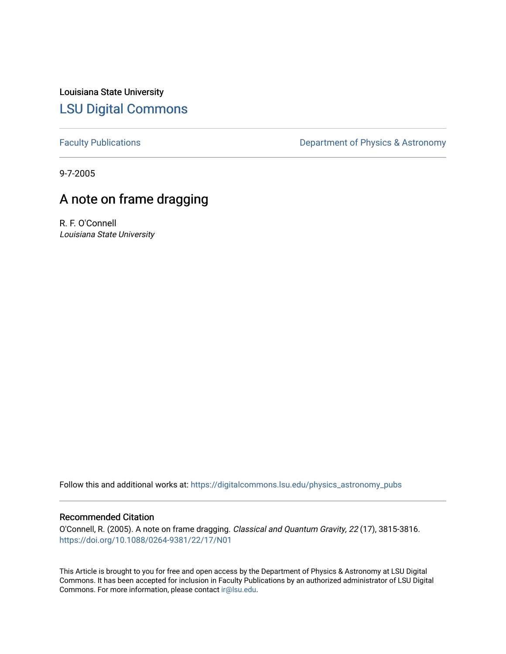Louisiana State University [LSU Digital Commons](https://digitalcommons.lsu.edu/)

[Faculty Publications](https://digitalcommons.lsu.edu/physics_astronomy_pubs) **Exercise 2** Constant Department of Physics & Astronomy

9-7-2005

## A note on frame dragging

R. F. O'Connell Louisiana State University

Follow this and additional works at: [https://digitalcommons.lsu.edu/physics\\_astronomy\\_pubs](https://digitalcommons.lsu.edu/physics_astronomy_pubs?utm_source=digitalcommons.lsu.edu%2Fphysics_astronomy_pubs%2F3891&utm_medium=PDF&utm_campaign=PDFCoverPages) 

## Recommended Citation

O'Connell, R. (2005). A note on frame dragging. Classical and Quantum Gravity, 22 (17), 3815-3816. <https://doi.org/10.1088/0264-9381/22/17/N01>

This Article is brought to you for free and open access by the Department of Physics & Astronomy at LSU Digital Commons. It has been accepted for inclusion in Faculty Publications by an authorized administrator of LSU Digital Commons. For more information, please contact [ir@lsu.edu](mailto:ir@lsu.edu).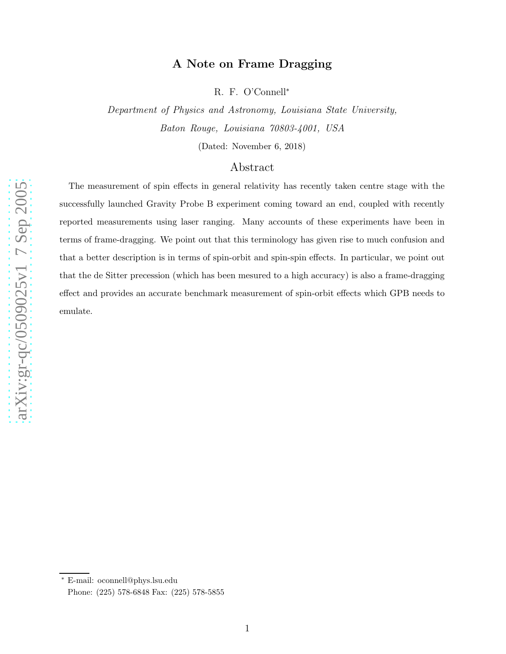## A Note on Frame Dragging

R. F. O'Connell<sup>\*</sup>

Department of Physics and Astronomy, Louisiana State University, Baton Rouge, Louisiana 70803-4001, USA

(Dated: November 6, 2018)

## Abstract

The measurement of spin effects in general relativity has recently taken centre stage with the successfully launched Gravity Probe B experiment coming toward an end, coupled with recently reported measurements using laser ranging. Many accounts of these experiments have been in terms of frame-dragging. We point out that this terminology has given rise to much confusion and that a better description is in terms of spin-orbit and spin-spin effects. In particular, we point out that the de Sitter precession (which has been mesured to a high accuracy) is also a frame-dragging effect and provides an accurate benchmark measurement of spin-orbit effects which GPB needs to emulate.

<sup>∗</sup> E-mail: oconnell@phys.lsu.edu

Phone: (225) 578-6848 Fax: (225) 578-5855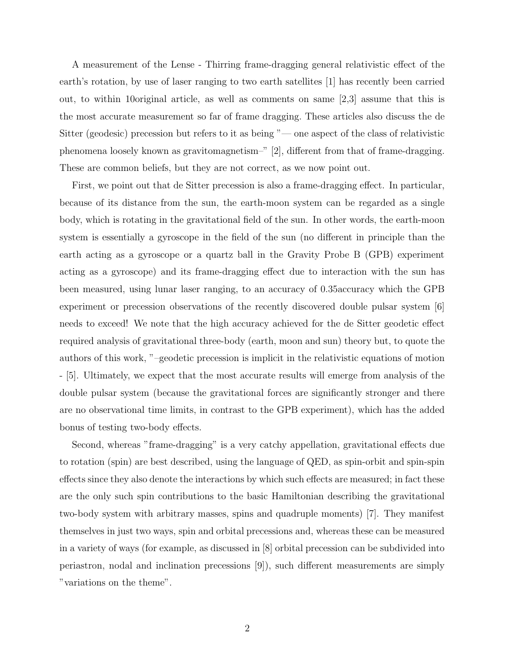A measurement of the Lense - Thirring frame-dragging general relativistic effect of the earth's rotation, by use of laser ranging to two earth satellites [1] has recently been carried out, to within 10original article, as well as comments on same [2,3] assume that this is the most accurate measurement so far of frame dragging. These articles also discuss the de Sitter (geodesic) precession but refers to it as being "— one aspect of the class of relativistic phenomena loosely known as gravitomagnetism–" [2], different from that of frame-dragging. These are common beliefs, but they are not correct, as we now point out.

First, we point out that de Sitter precession is also a frame-dragging effect. In particular, because of its distance from the sun, the earth-moon system can be regarded as a single body, which is rotating in the gravitational field of the sun. In other words, the earth-moon system is essentially a gyroscope in the field of the sun (no different in principle than the earth acting as a gyroscope or a quartz ball in the Gravity Probe B (GPB) experiment acting as a gyroscope) and its frame-dragging effect due to interaction with the sun has been measured, using lunar laser ranging, to an accuracy of 0.35accuracy which the GPB experiment or precession observations of the recently discovered double pulsar system [6] needs to exceed! We note that the high accuracy achieved for the de Sitter geodetic effect required analysis of gravitational three-body (earth, moon and sun) theory but, to quote the authors of this work, "–geodetic precession is implicit in the relativistic equations of motion - [5]. Ultimately, we expect that the most accurate results will emerge from analysis of the double pulsar system (because the gravitational forces are significantly stronger and there are no observational time limits, in contrast to the GPB experiment), which has the added bonus of testing two-body effects.

Second, whereas "frame-dragging" is a very catchy appellation, gravitational effects due to rotation (spin) are best described, using the language of QED, as spin-orbit and spin-spin effects since they also denote the interactions by which such effects are measured; in fact these are the only such spin contributions to the basic Hamiltonian describing the gravitational two-body system with arbitrary masses, spins and quadruple moments) [7]. They manifest themselves in just two ways, spin and orbital precessions and, whereas these can be measured in a variety of ways (for example, as discussed in [8] orbital precession can be subdivided into periastron, nodal and inclination precessions [9]), such different measurements are simply "variations on the theme".